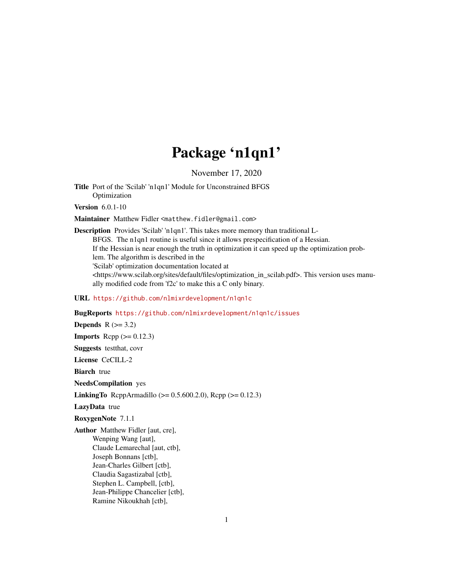## Package 'n1qn1'

November 17, 2020

Title Port of the 'Scilab' 'n1qn1' Module for Unconstrained BFGS Optimization

Version 6.0.1-10

Maintainer Matthew Fidler <matthew.fidler@gmail.com>

Description Provides 'Scilab' 'n1qn1'. This takes more memory than traditional L-BFGS. The n1qn1 routine is useful since it allows prespecification of a Hessian. If the Hessian is near enough the truth in optimization it can speed up the optimization problem. The algorithm is described in the 'Scilab' optimization documentation located at <https://www.scilab.org/sites/default/files/optimization\_in\_scilab.pdf>. This version uses manually modified code from 'f2c' to make this a C only binary.

#### URL <https://github.com/nlmixrdevelopment/n1qn1c>

#### BugReports <https://github.com/nlmixrdevelopment/n1qn1c/issues>

Depends  $R$  ( $>= 3.2$ ) **Imports** Rcpp  $(>= 0.12.3)$ Suggests testthat, covr License CeCILL-2 **Biarch** true NeedsCompilation yes **LinkingTo** ReppArmadillo ( $>= 0.5.600.2.0$ ), Repp ( $>= 0.12.3$ ) LazyData true RoxygenNote 7.1.1 Author Matthew Fidler [aut, cre], Wenping Wang [aut], Claude Lemarechal [aut, ctb], Joseph Bonnans [ctb], Jean-Charles Gilbert [ctb], Claudia Sagastizabal [ctb], Stephen L. Campbell, [ctb], Jean-Philippe Chancelier [ctb], Ramine Nikoukhah [ctb],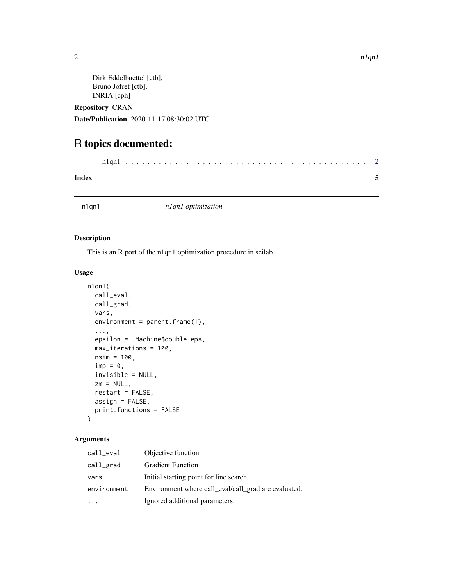```
Dirk Eddelbuettel [ctb],
Bruno Jofret [ctb],
INRIA [cph]
```
Repository CRAN

Date/Publication 2020-11-17 08:30:02 UTC

### R topics documented:

| Index |  |  |  |  |  |  |  |  |  |  |  |  |  |  |  |  |  |  |  |  |
|-------|--|--|--|--|--|--|--|--|--|--|--|--|--|--|--|--|--|--|--|--|

n1qn1 *n1qn1 optimization*

#### Description

This is an R port of the n1qn1 optimization procedure in scilab.

#### Usage

```
n1qn1(
 call_eval,
  call_grad,
 vars,
  environment = parent.frame(1),
  ...,
  epsilon = .Machine$double.eps,
 max_iterations = 100,
 nsim = 100,
  \mathsf{imp} = \emptyset,invisible = NULL,
  zm = NULL,restart = FALSE,
 assign = FALSE,
 print.functions = FALSE
)
```
#### Arguments

| call_eval   | Objective function                                   |
|-------------|------------------------------------------------------|
| call_grad   | <b>Gradient Function</b>                             |
| vars        | Initial starting point for line search               |
| environment | Environment where call_eval/call_grad are evaluated. |
|             | Ignored additional parameters.                       |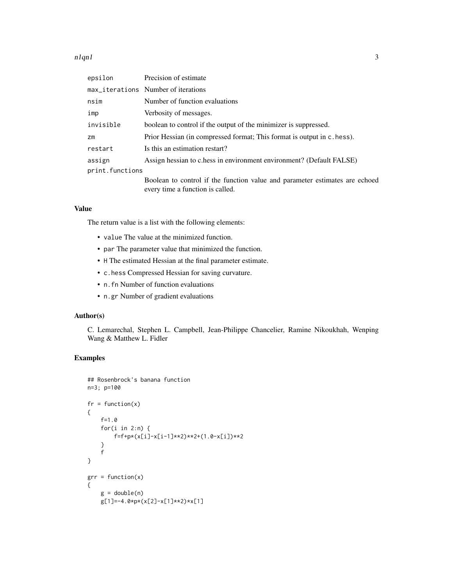#### $n1qn1$  3

| epsilon         | Precision of estimate                                                                                           |
|-----------------|-----------------------------------------------------------------------------------------------------------------|
|                 | max_iterations Number of iterations                                                                             |
| nsim            | Number of function evaluations                                                                                  |
| imp             | Verbosity of messages.                                                                                          |
| invisible       | boolean to control if the output of the minimizer is suppressed.                                                |
| Zm              | Prior Hessian (in compressed format; This format is output in c. hess).                                         |
| restart         | Is this an estimation restart?                                                                                  |
| assign          | Assign hessian to c.hess in environment environment? (Default FALSE)                                            |
| print.functions |                                                                                                                 |
|                 | Boolean to control if the function value and parameter estimates are echoed<br>every time a function is called. |

#### Value

The return value is a list with the following elements:

- value The value at the minimized function.
- par The parameter value that minimized the function.
- H The estimated Hessian at the final parameter estimate.
- c.hess Compressed Hessian for saving curvature.
- n.fn Number of function evaluations
- n.gr Number of gradient evaluations

#### Author(s)

C. Lemarechal, Stephen L. Campbell, Jean-Philippe Chancelier, Ramine Nikoukhah, Wenping Wang & Matthew L. Fidler

#### Examples

```
## Rosenbrock's banana function
n=3; p=100
fr = function(x){
    f=1.0
    for(i in 2:n) {
       f=f+p*(x[i]-x[i-1]**2)**2+(1.0-x[i])**2
    }
    f
}
grr = function(x){
   g = double(n)g[1]=-4.0*p*(x[2]-x[1]**2)*x[1]
```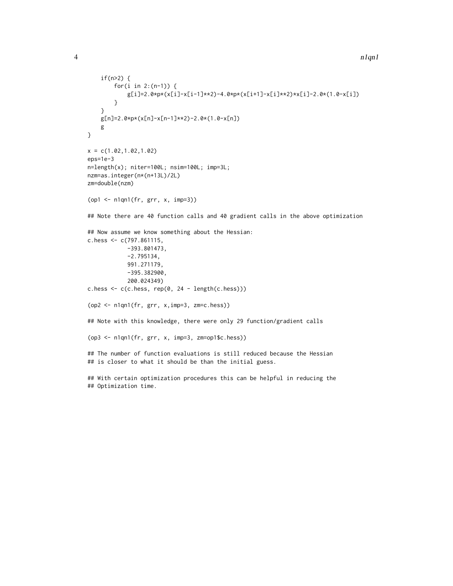```
if(n>2) {
        for(i in 2:(n-1)) {
            g[i]=2.0*p*(x[i]-x[i-1]**2)-4.0*p*(x[i+1]-x[i]**2)*x[i]-2.0*(1.0-x[i])
        }
    }
    g[n]=2.0*p*(x[n]-x[n-1]**2)-2.0*(1.0-x[n])
    g
}
x = c(1.02, 1.02, 1.02)eps=1e-3
n=length(x); niter=100L; nsim=100L; imp=3L;
nzm=as.integer(n*(n+13L)/2L)
zm=double(nzm)
(op1 <- n1qn1(fr, grr, x, imp=3))
## Note there are 40 function calls and 40 gradient calls in the above optimization
## Now assume we know something about the Hessian:
c.hess <- c(797.861115,
            -393.801473,
            -2.795134,
            991.271179,
            -395.382900,
            200.024349)
c.hess \leq c(c.hess, rep(0, 24 - length(c.hess)))
(op2 <- n1qn1(fr, grr, x,imp=3, zm=c.hess))
## Note with this knowledge, there were only 29 function/gradient calls
(op3 <- n1qn1(fr, grr, x, imp=3, zm=op1$c.hess))
## The number of function evaluations is still reduced because the Hessian
## is closer to what it should be than the initial guess.
## With certain optimization procedures this can be helpful in reducing the
```
## Optimization time.